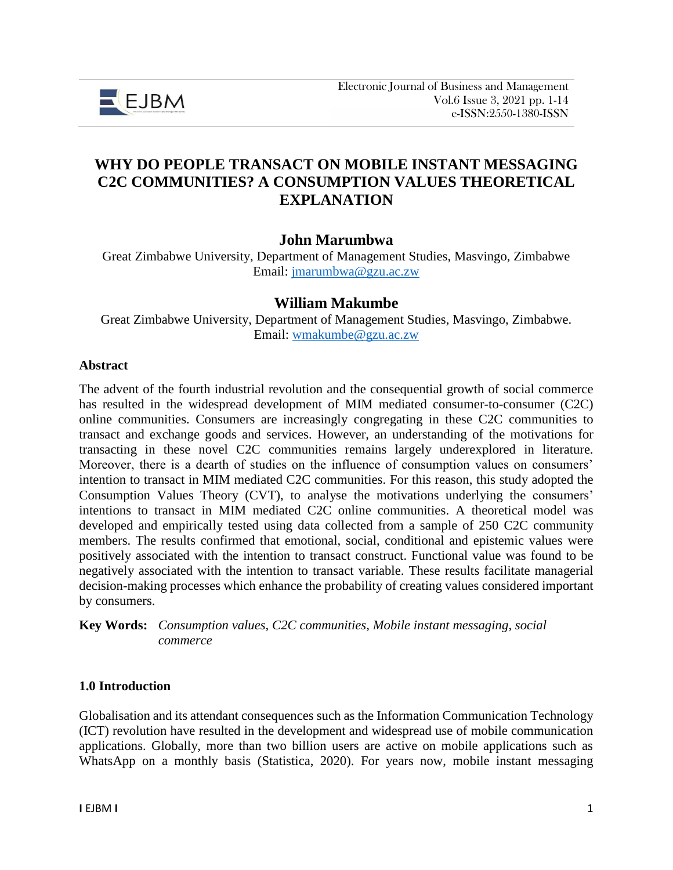

# **WHY DO PEOPLE TRANSACT ON MOBILE INSTANT MESSAGING C2C COMMUNITIES? A CONSUMPTION VALUES THEORETICAL EXPLANATION**

### **John Marumbwa**

Great Zimbabwe University, Department of Management Studies, Masvingo, Zimbabwe Email: [jmarumbwa@gzu.ac.zw](mailto:jmarumbwa@gzu.ac.zw)

### **William Makumbe**

Great Zimbabwe University, Department of Management Studies, Masvingo, Zimbabwe. Email: [wmakumbe@gzu.ac.zw](mailto:wmakumbe@gzu.ac.zw)

#### **Abstract**

The advent of the fourth industrial revolution and the consequential growth of social commerce has resulted in the widespread development of MIM mediated consumer-to-consumer (C2C) online communities. Consumers are increasingly congregating in these C2C communities to transact and exchange goods and services. However, an understanding of the motivations for transacting in these novel C2C communities remains largely underexplored in literature. Moreover, there is a dearth of studies on the influence of consumption values on consumers' intention to transact in MIM mediated C2C communities. For this reason, this study adopted the Consumption Values Theory (CVT), to analyse the motivations underlying the consumers' intentions to transact in MIM mediated C2C online communities. A theoretical model was developed and empirically tested using data collected from a sample of 250 C2C community members. The results confirmed that emotional, social, conditional and epistemic values were positively associated with the intention to transact construct. Functional value was found to be negatively associated with the intention to transact variable. These results facilitate managerial decision-making processes which enhance the probability of creating values considered important by consumers.

**Key Words:** *Consumption values, C2C communities, Mobile instant messaging, social commerce*

#### **1.0 Introduction**

Globalisation and its attendant consequences such as the Information Communication Technology (ICT) revolution have resulted in the development and widespread use of mobile communication applications. Globally, more than two billion users are active on mobile applications such as WhatsApp on a monthly basis (Statistica, 2020). For years now, mobile instant messaging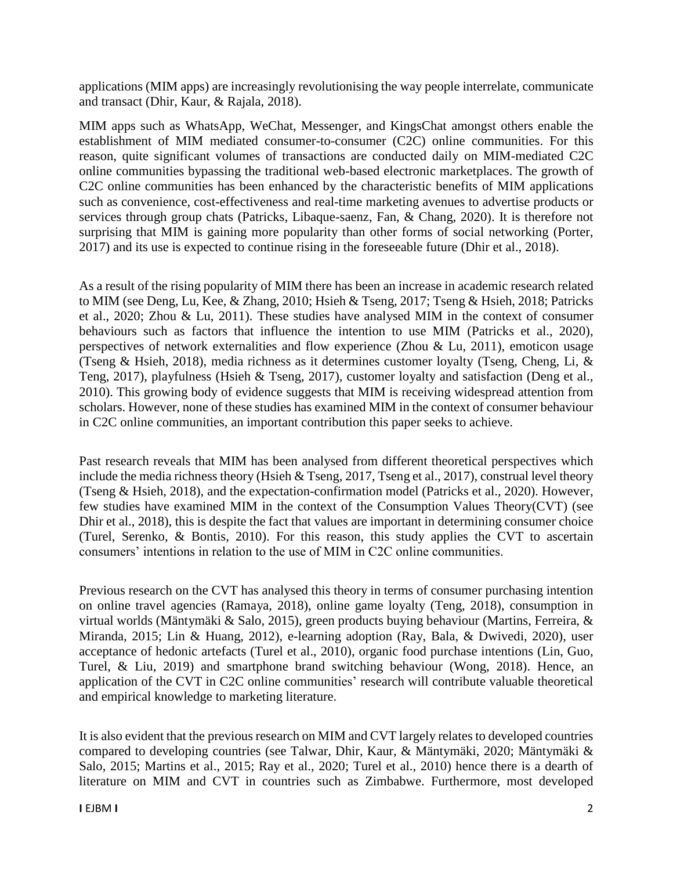applications (MIM apps) are increasingly revolutionising the way people interrelate, communicate and transact (Dhir, Kaur, & Rajala, 2018).

MIM apps such as WhatsApp, WeChat, Messenger, and KingsChat amongst others enable the establishment of MIM mediated consumer-to-consumer (C2C) online communities. For this reason, quite significant volumes of transactions are conducted daily on MIM-mediated C2C online communities bypassing the traditional web-based electronic marketplaces. The growth of C2C online communities has been enhanced by the characteristic benefits of MIM applications such as convenience, cost-effectiveness and real-time marketing avenues to advertise products or services through group chats (Patricks, Libaque-saenz, Fan, & Chang, 2020). It is therefore not surprising that MIM is gaining more popularity than other forms of social networking (Porter, 2017) and its use is expected to continue rising in the foreseeable future (Dhir et al., 2018).

As a result of the rising popularity of MIM there has been an increase in academic research related to MIM (see Deng, Lu, Kee, & Zhang, 2010; Hsieh & Tseng, 2017; Tseng & Hsieh, 2018; Patricks et al., 2020; Zhou & Lu, 2011). These studies have analysed MIM in the context of consumer behaviours such as factors that influence the intention to use MIM (Patricks et al., 2020), perspectives of network externalities and flow experience (Zhou & Lu, 2011), emoticon usage (Tseng & Hsieh, 2018), media richness as it determines customer loyalty (Tseng, Cheng, Li, & Teng, 2017), playfulness (Hsieh & Tseng, 2017), customer loyalty and satisfaction (Deng et al., 2010). This growing body of evidence suggests that MIM is receiving widespread attention from scholars. However, none of these studies has examined MIM in the context of consumer behaviour in C2C online communities, an important contribution this paper seeks to achieve.

Past research reveals that MIM has been analysed from different theoretical perspectives which include the media richness theory (Hsieh & Tseng, 2017, Tseng et al., 2017), construal level theory (Tseng & Hsieh, 2018), and the expectation-confirmation model (Patricks et al., 2020). However, few studies have examined MIM in the context of the Consumption Values Theory(CVT) (see Dhir et al., 2018), this is despite the fact that values are important in determining consumer choice (Turel, Serenko, & Bontis, 2010). For this reason, this study applies the CVT to ascertain consumers' intentions in relation to the use of MIM in C2C online communities.

Previous research on the CVT has analysed this theory in terms of consumer purchasing intention on online travel agencies (Ramaya, 2018), online game loyalty (Teng, 2018), consumption in virtual worlds (Mäntymäki & Salo, 2015), green products buying behaviour (Martins, Ferreira, & Miranda, 2015; Lin & Huang, 2012), e-learning adoption (Ray, Bala, & Dwivedi, 2020), user acceptance of hedonic artefacts (Turel et al., 2010), organic food purchase intentions (Lin, Guo, Turel, & Liu, 2019) and smartphone brand switching behaviour (Wong, 2018). Hence, an application of the CVT in C2C online communities' research will contribute valuable theoretical and empirical knowledge to marketing literature.

It is also evident that the previous research on MIM and CVT largely relates to developed countries compared to developing countries (see Talwar, Dhir, Kaur, & Mäntymäki, 2020; Mäntymäki & Salo, 2015; Martins et al., 2015; Ray et al., 2020; Turel et al., 2010) hence there is a dearth of literature on MIM and CVT in countries such as Zimbabwe. Furthermore, most developed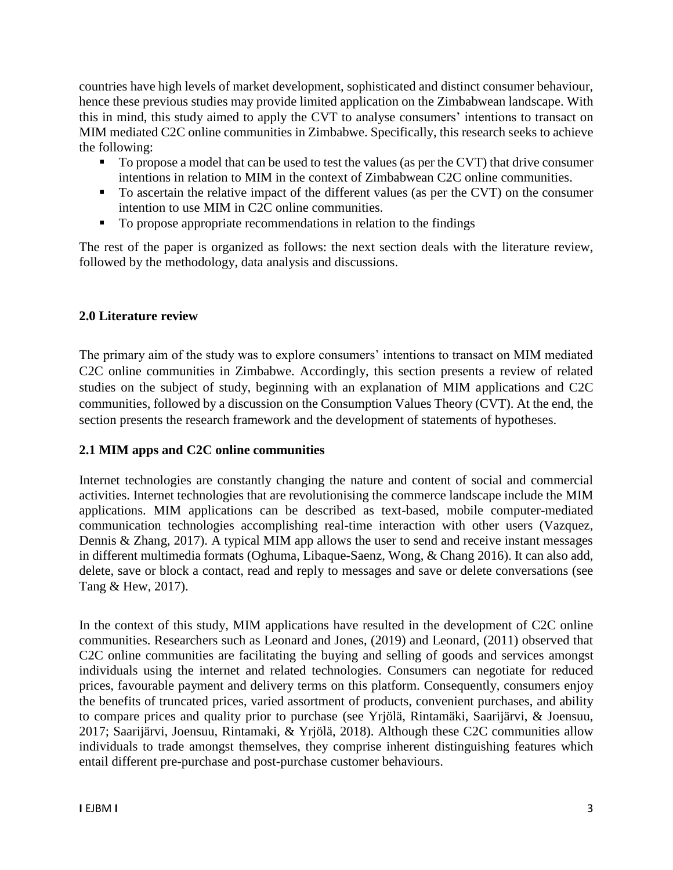countries have high levels of market development, sophisticated and distinct consumer behaviour, hence these previous studies may provide limited application on the Zimbabwean landscape. With this in mind, this study aimed to apply the CVT to analyse consumers' intentions to transact on MIM mediated C2C online communities in Zimbabwe. Specifically, this research seeks to achieve the following:

- To propose a model that can be used to test the values (as per the CVT) that drive consumer intentions in relation to MIM in the context of Zimbabwean C2C online communities.
- To ascertain the relative impact of the different values (as per the CVT) on the consumer intention to use MIM in C2C online communities.
- $\blacksquare$  To propose appropriate recommendations in relation to the findings

The rest of the paper is organized as follows: the next section deals with the literature review, followed by the methodology, data analysis and discussions.

# **2.0 Literature review**

The primary aim of the study was to explore consumers' intentions to transact on MIM mediated C2C online communities in Zimbabwe. Accordingly, this section presents a review of related studies on the subject of study, beginning with an explanation of MIM applications and C2C communities, followed by a discussion on the Consumption Values Theory (CVT). At the end, the section presents the research framework and the development of statements of hypotheses.

# **2.1 MIM apps and C2C online communities**

Internet technologies are constantly changing the nature and content of social and commercial activities. Internet technologies that are revolutionising the commerce landscape include the MIM applications. MIM applications can be described as text-based, mobile computer-mediated communication technologies accomplishing real-time interaction with other users (Vazquez, Dennis & Zhang, 2017). A typical MIM app allows the user to send and receive instant messages in different multimedia formats (Oghuma, Libaque-Saenz, Wong, & Chang 2016). It can also add, delete, save or block a contact, read and reply to messages and save or delete conversations (see Tang & Hew, 2017).

In the context of this study, MIM applications have resulted in the development of C2C online communities. Researchers such as Leonard and Jones, (2019) and Leonard, (2011) observed that C2C online communities are facilitating the buying and selling of goods and services amongst individuals using the internet and related technologies. Consumers can negotiate for reduced prices, favourable payment and delivery terms on this platform. Consequently, consumers enjoy the benefits of truncated prices, varied assortment of products, convenient purchases, and ability to compare prices and quality prior to purchase (see Yrjölä, Rintamäki, Saarijärvi, & Joensuu, 2017; Saarijärvi, Joensuu, Rintamaki, & Yrjölä, 2018). Although these C2C communities allow individuals to trade amongst themselves, they comprise inherent distinguishing features which entail different pre-purchase and post-purchase customer behaviours.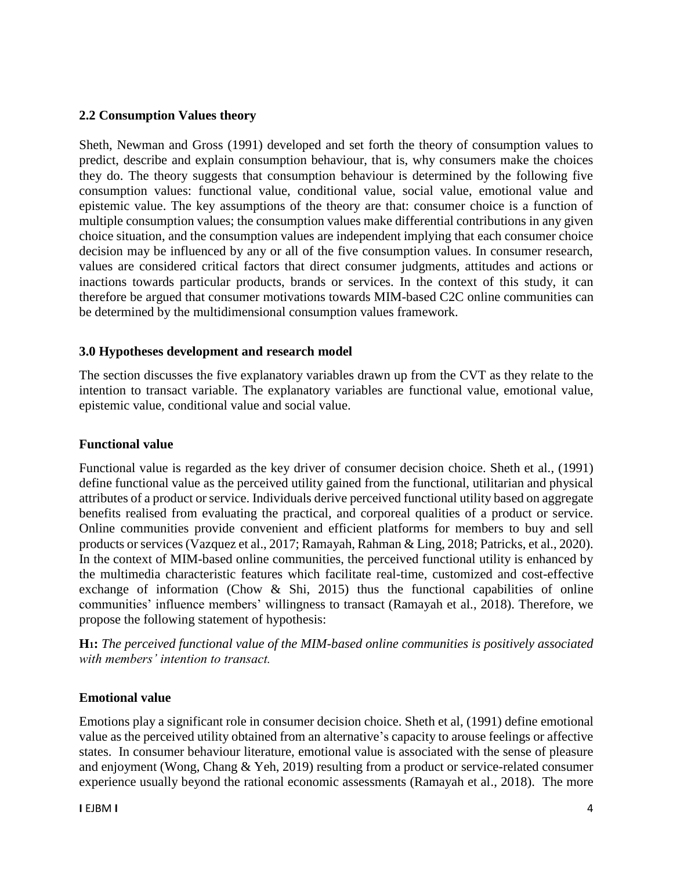#### **2.2 Consumption Values theory**

Sheth, Newman and Gross (1991) developed and set forth the theory of consumption values to predict, describe and explain consumption behaviour, that is, why consumers make the choices they do. The theory suggests that consumption behaviour is determined by the following five consumption values: functional value, conditional value, social value, emotional value and epistemic value. The key assumptions of the theory are that: consumer choice is a function of multiple consumption values; the consumption values make differential contributions in any given choice situation, and the consumption values are independent implying that each consumer choice decision may be influenced by any or all of the five consumption values. In consumer research, values are considered critical factors that direct consumer judgments, attitudes and actions or inactions towards particular products, brands or services. In the context of this study, it can therefore be argued that consumer motivations towards MIM-based C2C online communities can be determined by the multidimensional consumption values framework.

#### **3.0 Hypotheses development and research model**

The section discusses the five explanatory variables drawn up from the CVT as they relate to the intention to transact variable. The explanatory variables are functional value, emotional value, epistemic value, conditional value and social value.

#### **Functional value**

Functional value is regarded as the key driver of consumer decision choice. Sheth et al., (1991) define functional value as the perceived utility gained from the functional, utilitarian and physical attributes of a product or service. Individuals derive perceived functional utility based on aggregate benefits realised from evaluating the practical, and corporeal qualities of a product or service. Online communities provide convenient and efficient platforms for members to buy and sell products or services(Vazquez et al., 2017; Ramayah, Rahman & Ling, 2018; Patricks, et al., 2020). In the context of MIM-based online communities, the perceived functional utility is enhanced by the multimedia characteristic features which facilitate real-time, customized and cost-effective exchange of information (Chow  $\&$  Shi, 2015) thus the functional capabilities of online communities' influence members' willingness to transact (Ramayah et al., 2018). Therefore, we propose the following statement of hypothesis:

**H1:** *The perceived functional value of the MIM-based online communities is positively associated with members' intention to transact.*

### **Emotional value**

Emotions play a significant role in consumer decision choice. Sheth et al, (1991) define emotional value as the perceived utility obtained from an alternative's capacity to arouse feelings or affective states. In consumer behaviour literature, emotional value is associated with the sense of pleasure and enjoyment (Wong, Chang & Yeh, 2019) resulting from a product or service-related consumer experience usually beyond the rational economic assessments (Ramayah et al., 2018). The more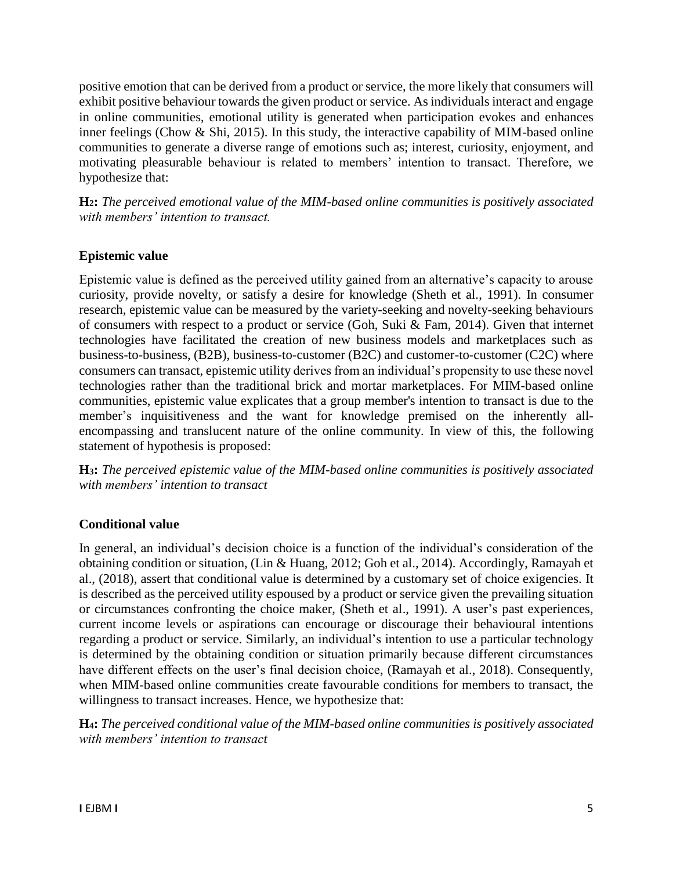positive emotion that can be derived from a product or service, the more likely that consumers will exhibit positive behaviour towards the given product or service. As individuals interact and engage in online communities, emotional utility is generated when participation evokes and enhances inner feelings (Chow & Shi, 2015). In this study, the interactive capability of MIM-based online communities to generate a diverse range of emotions such as; interest, curiosity, enjoyment, and motivating pleasurable behaviour is related to members' intention to transact. Therefore, we hypothesize that:

**H2:** *The perceived emotional value of the MIM-based online communities is positively associated with members' intention to transact.*

### **Epistemic value**

Epistemic value is defined as the perceived utility gained from an alternative's capacity to arouse curiosity, provide novelty, or satisfy a desire for knowledge (Sheth et al., 1991). In consumer research, epistemic value can be measured by the variety-seeking and novelty-seeking behaviours of consumers with respect to a product or service (Goh, Suki & Fam, 2014). Given that internet technologies have facilitated the creation of new business models and marketplaces such as business-to-business, (B2B), business-to-customer (B2C) and customer-to-customer (C2C) where consumers can transact, epistemic utility derives from an individual's propensity to use these novel technologies rather than the traditional brick and mortar marketplaces. For MIM-based online communities, epistemic value explicates that a group member's intention to transact is due to the member's inquisitiveness and the want for knowledge premised on the inherently allencompassing and translucent nature of the online community. In view of this, the following statement of hypothesis is proposed:

**H3:** *The perceived epistemic value of the MIM-based online communities is positively associated with members' intention to transact* 

### **Conditional value**

In general, an individual's decision choice is a function of the individual's consideration of the obtaining condition or situation, (Lin & Huang, 2012; Goh et al., 2014). Accordingly, Ramayah et al., (2018), assert that conditional value is determined by a customary set of choice exigencies. It is described as the perceived utility espoused by a product or service given the prevailing situation or circumstances confronting the choice maker, (Sheth et al., 1991). A user's past experiences, current income levels or aspirations can encourage or discourage their behavioural intentions regarding a product or service. Similarly, an individual's intention to use a particular technology is determined by the obtaining condition or situation primarily because different circumstances have different effects on the user's final decision choice, (Ramayah et al., 2018). Consequently, when MIM-based online communities create favourable conditions for members to transact, the willingness to transact increases. Hence, we hypothesize that:

**H4:** *The perceived conditional value of the MIM-based online communities is positively associated with members' intention to transact*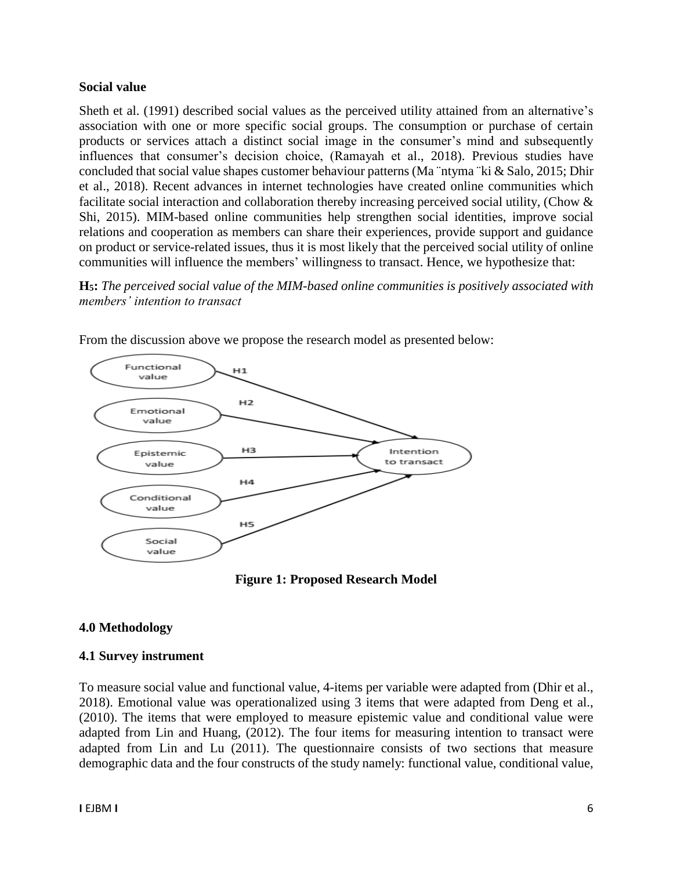#### **Social value**

Sheth et al. (1991) described social values as the perceived utility attained from an alternative's association with one or more specific social groups. The consumption or purchase of certain products or services attach a distinct social image in the consumer's mind and subsequently influences that consumer's decision choice, (Ramayah et al., 2018). Previous studies have concluded that social value shapes customer behaviour patterns (Ma ¨ntyma ¨ki & Salo, 2015; Dhir et al., 2018). Recent advances in internet technologies have created online communities which facilitate social interaction and collaboration thereby increasing perceived social utility, (Chow & Shi, 2015). MIM-based online communities help strengthen social identities, improve social relations and cooperation as members can share their experiences, provide support and guidance on product or service-related issues, thus it is most likely that the perceived social utility of online communities will influence the members' willingness to transact. Hence, we hypothesize that:

**H5:** *The perceived social value of the MIM-based online communities is positively associated with members' intention to transact* 



From the discussion above we propose the research model as presented below:

**Figure 1: Proposed Research Model**

### **4.0 Methodology**

#### **4.1 Survey instrument**

To measure social value and functional value, 4-items per variable were adapted from (Dhir et al., 2018). Emotional value was operationalized using 3 items that were adapted from Deng et al., (2010). The items that were employed to measure epistemic value and conditional value were adapted from Lin and Huang, (2012). The four items for measuring intention to transact were adapted from Lin and Lu (2011). The questionnaire consists of two sections that measure demographic data and the four constructs of the study namely: functional value, conditional value,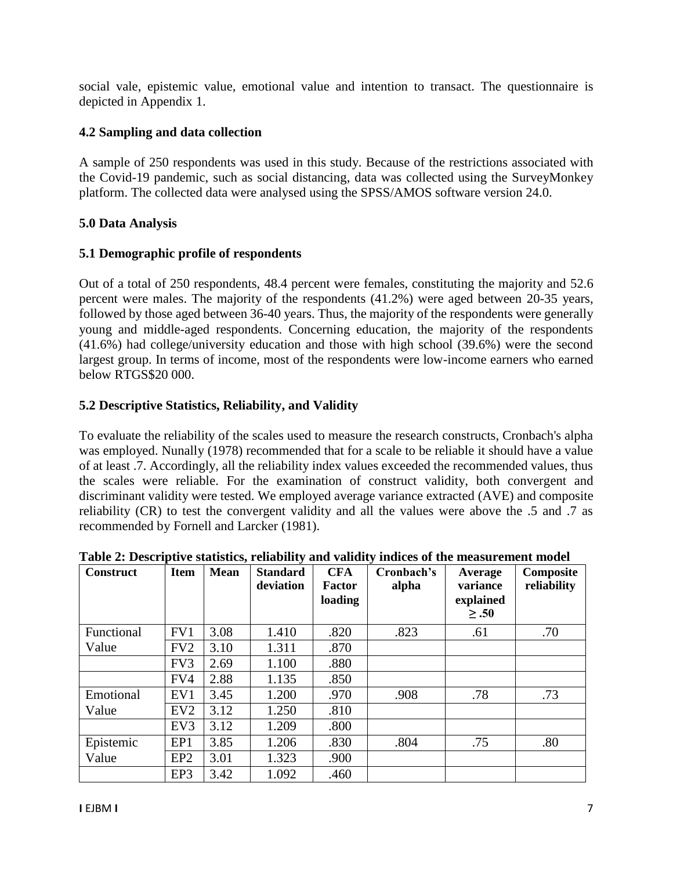social vale, epistemic value, emotional value and intention to transact. The questionnaire is depicted in Appendix 1.

### **4.2 Sampling and data collection**

A sample of 250 respondents was used in this study. Because of the restrictions associated with the Covid-19 pandemic, such as social distancing, data was collected using the SurveyMonkey platform. The collected data were analysed using the SPSS/AMOS software version 24.0.

### **5.0 Data Analysis**

### **5.1 Demographic profile of respondents**

Out of a total of 250 respondents, 48.4 percent were females, constituting the majority and 52.6 percent were males. The majority of the respondents (41.2%) were aged between 20-35 years, followed by those aged between 36-40 years. Thus, the majority of the respondents were generally young and middle-aged respondents. Concerning education, the majority of the respondents (41.6%) had college/university education and those with high school (39.6%) were the second largest group. In terms of income, most of the respondents were low-income earners who earned below RTGS\$20 000.

## **5.2 Descriptive Statistics, Reliability, and Validity**

To evaluate the reliability of the scales used to measure the research constructs, Cronbach's alpha was employed. Nunally (1978) recommended that for a scale to be reliable it should have a value of at least .7. Accordingly, all the reliability index values exceeded the recommended values, thus the scales were reliable. For the examination of construct validity, both convergent and discriminant validity were tested. We employed average variance extracted (AVE) and composite reliability (CR) to test the convergent validity and all the values were above the .5 and .7 as recommended by Fornell and Larcker (1981).

| <b>Construct</b> | <b>Item</b>     | <b>Mean</b> | <b>Standard</b><br>deviation | <b>CFA</b><br><b>Factor</b><br>loading | Cronbach's<br>alpha | Average<br>variance<br>explained<br>$\geq .50$ | Composite<br>reliability |
|------------------|-----------------|-------------|------------------------------|----------------------------------------|---------------------|------------------------------------------------|--------------------------|
| Functional       | FV1             | 3.08        | 1.410                        | .820                                   | .823                | .61                                            | .70                      |
| Value            | FV <sub>2</sub> | 3.10        | 1.311                        | .870                                   |                     |                                                |                          |
|                  | FV3             | 2.69        | 1.100                        | .880                                   |                     |                                                |                          |
|                  | FV4             | 2.88        | 1.135                        | .850                                   |                     |                                                |                          |
| Emotional        | EV1             | 3.45        | 1.200                        | .970                                   | .908                | .78                                            | .73                      |
| Value            | EV <sub>2</sub> | 3.12        | 1.250                        | .810                                   |                     |                                                |                          |
|                  | EV <sub>3</sub> | 3.12        | 1.209                        | .800                                   |                     |                                                |                          |
| Epistemic        | EP1             | 3.85        | 1.206                        | .830                                   | .804                | .75                                            | .80                      |
| Value            | EP <sub>2</sub> | 3.01        | 1.323                        | .900                                   |                     |                                                |                          |
|                  | EP3             | 3.42        | 1.092                        | .460                                   |                     |                                                |                          |

**Table 2: Descriptive statistics, reliability and validity indices of the measurement model**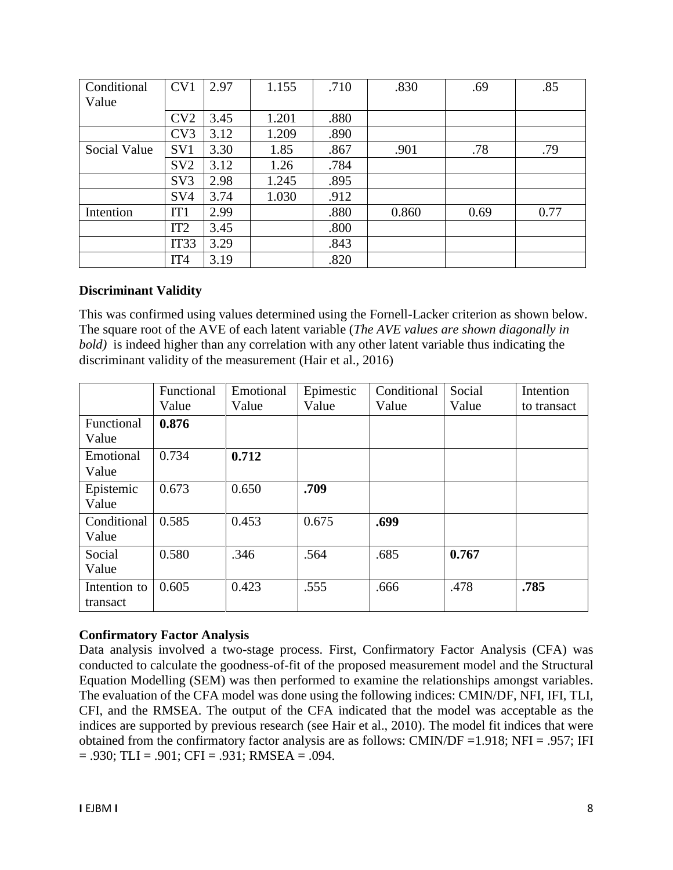| Conditional  | CV1              | 2.97 | 1.155 | .710 | .830  | .69  | .85  |
|--------------|------------------|------|-------|------|-------|------|------|
| Value        |                  |      |       |      |       |      |      |
|              | CV2              | 3.45 | 1.201 | .880 |       |      |      |
|              | CV3              | 3.12 | 1.209 | .890 |       |      |      |
| Social Value | SV <sub>1</sub>  | 3.30 | 1.85  | .867 | .901  | .78  | .79  |
|              | SV <sub>2</sub>  | 3.12 | 1.26  | .784 |       |      |      |
|              | SV <sub>3</sub>  | 2.98 | 1.245 | .895 |       |      |      |
|              | SV <sub>4</sub>  | 3.74 | 1.030 | .912 |       |      |      |
| Intention    | IT1              | 2.99 |       | .880 | 0.860 | 0.69 | 0.77 |
|              | IT <sub>2</sub>  | 3.45 |       | .800 |       |      |      |
|              | IT <sub>33</sub> | 3.29 |       | .843 |       |      |      |
|              | IT <sub>4</sub>  | 3.19 |       | .820 |       |      |      |

#### **Discriminant Validity**

This was confirmed using values determined using the Fornell-Lacker criterion as shown below. The square root of the AVE of each latent variable (*The AVE values are shown diagonally in bold)* is indeed higher than any correlation with any other latent variable thus indicating the discriminant validity of the measurement (Hair et al., 2016)

|                          | Functional | Emotional | Epimestic | Conditional | Social | Intention   |
|--------------------------|------------|-----------|-----------|-------------|--------|-------------|
|                          | Value      | Value     | Value     | Value       | Value  | to transact |
| Functional               | 0.876      |           |           |             |        |             |
| Value                    |            |           |           |             |        |             |
| Emotional<br>Value       | 0.734      | 0.712     |           |             |        |             |
| Epistemic<br>Value       | 0.673      | 0.650     | .709      |             |        |             |
| Conditional<br>Value     | 0.585      | 0.453     | 0.675     | .699        |        |             |
| Social<br>Value          | 0.580      | .346      | .564      | .685        | 0.767  |             |
| Intention to<br>transact | 0.605      | 0.423     | .555      | .666        | .478   | .785        |

### **Confirmatory Factor Analysis**

Data analysis involved a two-stage process. First, Confirmatory Factor Analysis (CFA) was conducted to calculate the goodness-of-fit of the proposed measurement model and the Structural Equation Modelling (SEM) was then performed to examine the relationships amongst variables. The evaluation of the CFA model was done using the following indices: CMIN/DF, NFI, IFI, TLI, CFI, and the RMSEA. The output of the CFA indicated that the model was acceptable as the indices are supported by previous research (see Hair et al., 2010). The model fit indices that were obtained from the confirmatory factor analysis are as follows: CMIN/DF =1.918; NFI = .957; IFI  $= .930$ ; TLI  $= .901$ ; CFI  $= .931$ ; RMSEA  $= .094$ .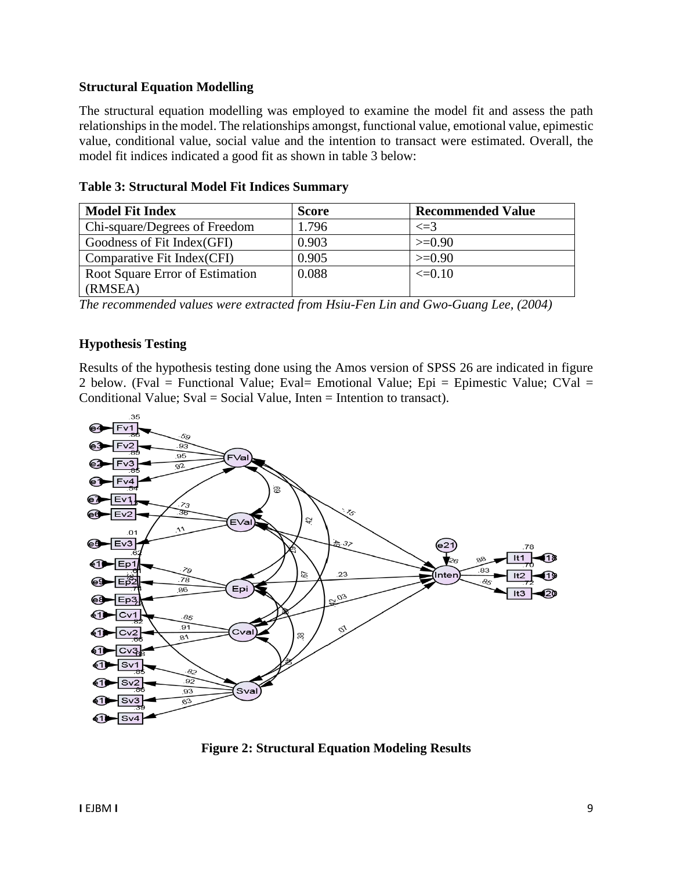#### **Structural Equation Modelling**

The structural equation modelling was employed to examine the model fit and assess the path relationships in the model. The relationships amongst, functional value, emotional value, epimestic value, conditional value, social value and the intention to transact were estimated. Overall, the model fit indices indicated a good fit as shown in table 3 below:

| <b>Model Fit Index</b>          | <b>Score</b> | <b>Recommended Value</b> |
|---------------------------------|--------------|--------------------------|
| Chi-square/Degrees of Freedom   | 1.796        | $\leq$ =3                |
| Goodness of Fit Index(GFI)      | 0.903        | $>=0.90$                 |
| Comparative Fit Index (CFI)     | 0.905        | $>=0.90$                 |
| Root Square Error of Estimation | 0.088        | $\leq=0.10$              |
| (RMSEA)                         |              |                          |

**Table 3: Structural Model Fit Indices Summary**

*The recommended values were extracted from Hsiu-Fen Lin and Gwo-Guang Lee, (2004)*

### **Hypothesis Testing**

Results of the hypothesis testing done using the Amos version of SPSS 26 are indicated in figure 2 below. (Fval = Functional Value; Eval= Emotional Value; Epi = Epimestic Value; CVal = Conditional Value; Sval = Social Value, Inten = Intention to transact).



**Figure 2: Structural Equation Modeling Results**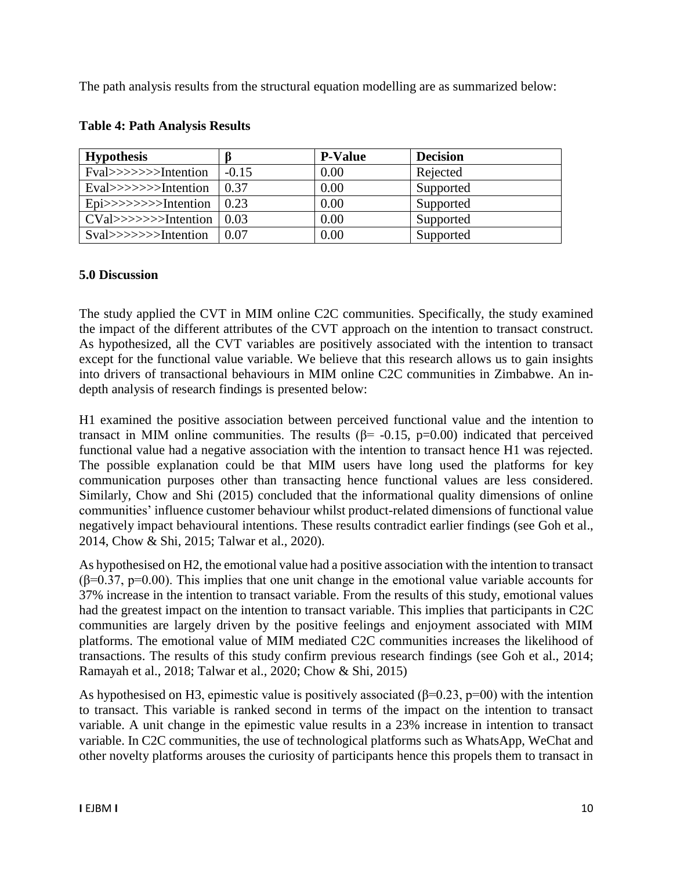The path analysis results from the structural equation modelling are as summarized below:

| <b>Hypothesis</b>       |         | <b>P-Value</b> | <b>Decision</b> |
|-------------------------|---------|----------------|-----------------|
| Fval>>>>>>>Intention    | $-0.15$ | 0.00           | Rejected        |
| Eval>>>>>>>>Intention   | 0.37    | 0.00           | Supported       |
| $Epi>>>>>>I$ ntention   | 0.23    | 0.00           | Supported       |
| $CVal \gg>>>>Intention$ | 0.03    | 0.00           | Supported       |
| $Sval>>>>>I$ ntention   | 0.07    | 0.00           | Supported       |

#### **Table 4: Path Analysis Results**

### **5.0 Discussion**

The study applied the CVT in MIM online C2C communities. Specifically, the study examined the impact of the different attributes of the CVT approach on the intention to transact construct. As hypothesized, all the CVT variables are positively associated with the intention to transact except for the functional value variable. We believe that this research allows us to gain insights into drivers of transactional behaviours in MIM online C2C communities in Zimbabwe. An indepth analysis of research findings is presented below:

H1 examined the positive association between perceived functional value and the intention to transact in MIM online communities. The results ( $\beta$ = -0.15, p=0.00) indicated that perceived functional value had a negative association with the intention to transact hence H1 was rejected. The possible explanation could be that MIM users have long used the platforms for key communication purposes other than transacting hence functional values are less considered. Similarly, Chow and Shi (2015) concluded that the informational quality dimensions of online communities' influence customer behaviour whilst product-related dimensions of functional value negatively impact behavioural intentions. These results contradict earlier findings (see Goh et al., 2014, Chow & Shi, 2015; Talwar et al., 2020).

As hypothesised on H2, the emotional value had a positive association with the intention to transact  $(\beta=0.37, p=0.00)$ . This implies that one unit change in the emotional value variable accounts for 37% increase in the intention to transact variable. From the results of this study, emotional values had the greatest impact on the intention to transact variable. This implies that participants in C2C communities are largely driven by the positive feelings and enjoyment associated with MIM platforms. The emotional value of MIM mediated C2C communities increases the likelihood of transactions. The results of this study confirm previous research findings (see Goh et al., 2014; Ramayah et al., 2018; Talwar et al., 2020; Chow & Shi, 2015)

As hypothesised on H3, epimestic value is positively associated ( $\beta$ =0.23, p=00) with the intention to transact. This variable is ranked second in terms of the impact on the intention to transact variable. A unit change in the epimestic value results in a 23% increase in intention to transact variable. In C2C communities, the use of technological platforms such as WhatsApp, WeChat and other novelty platforms arouses the curiosity of participants hence this propels them to transact in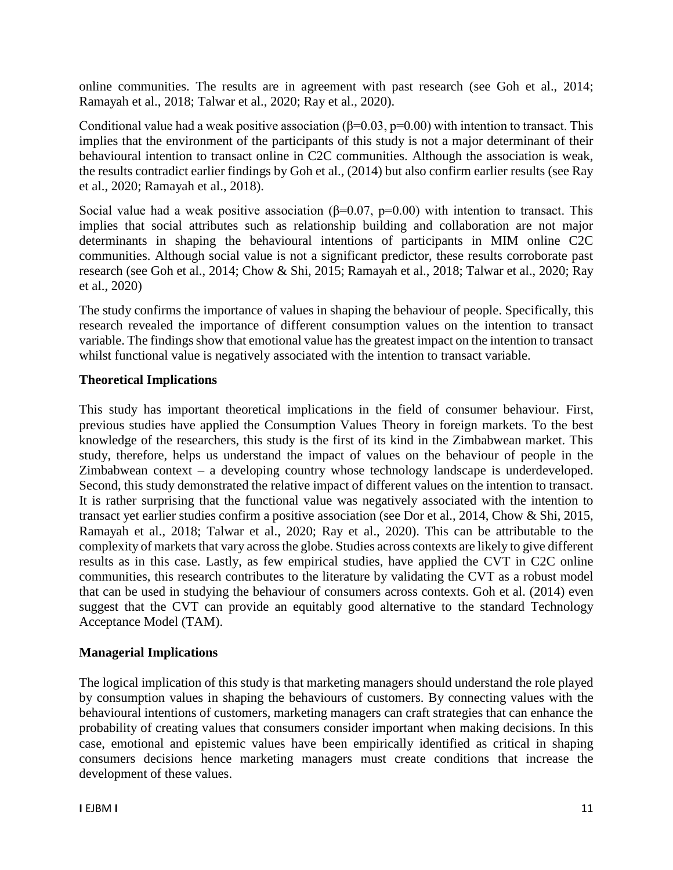online communities. The results are in agreement with past research (see Goh et al., 2014; Ramayah et al., 2018; Talwar et al., 2020; Ray et al., 2020).

Conditional value had a weak positive association ( $\beta$ =0.03, p=0.00) with intention to transact. This implies that the environment of the participants of this study is not a major determinant of their behavioural intention to transact online in C2C communities. Although the association is weak, the results contradict earlier findings by Goh et al., (2014) but also confirm earlier results (see Ray et al., 2020; Ramayah et al., 2018).

Social value had a weak positive association ( $\beta$ =0.07, p=0.00) with intention to transact. This implies that social attributes such as relationship building and collaboration are not major determinants in shaping the behavioural intentions of participants in MIM online C2C communities. Although social value is not a significant predictor, these results corroborate past research (see Goh et al., 2014; Chow & Shi, 2015; Ramayah et al., 2018; Talwar et al., 2020; Ray et al., 2020)

The study confirms the importance of values in shaping the behaviour of people. Specifically, this research revealed the importance of different consumption values on the intention to transact variable. The findings show that emotional value has the greatest impact on the intention to transact whilst functional value is negatively associated with the intention to transact variable.

#### **Theoretical Implications**

This study has important theoretical implications in the field of consumer behaviour. First, previous studies have applied the Consumption Values Theory in foreign markets. To the best knowledge of the researchers, this study is the first of its kind in the Zimbabwean market. This study, therefore, helps us understand the impact of values on the behaviour of people in the Zimbabwean context – a developing country whose technology landscape is underdeveloped. Second, this study demonstrated the relative impact of different values on the intention to transact. It is rather surprising that the functional value was negatively associated with the intention to transact yet earlier studies confirm a positive association (see Dor et al., 2014, Chow & Shi, 2015, Ramayah et al., 2018; Talwar et al., 2020; Ray et al., 2020). This can be attributable to the complexity of markets that vary across the globe. Studies across contexts are likely to give different results as in this case. Lastly, as few empirical studies, have applied the CVT in C2C online communities, this research contributes to the literature by validating the CVT as a robust model that can be used in studying the behaviour of consumers across contexts. Goh et al. (2014) even suggest that the CVT can provide an equitably good alternative to the standard Technology Acceptance Model (TAM).

### **Managerial Implications**

The logical implication of this study is that marketing managers should understand the role played by consumption values in shaping the behaviours of customers. By connecting values with the behavioural intentions of customers, marketing managers can craft strategies that can enhance the probability of creating values that consumers consider important when making decisions. In this case, emotional and epistemic values have been empirically identified as critical in shaping consumers decisions hence marketing managers must create conditions that increase the development of these values.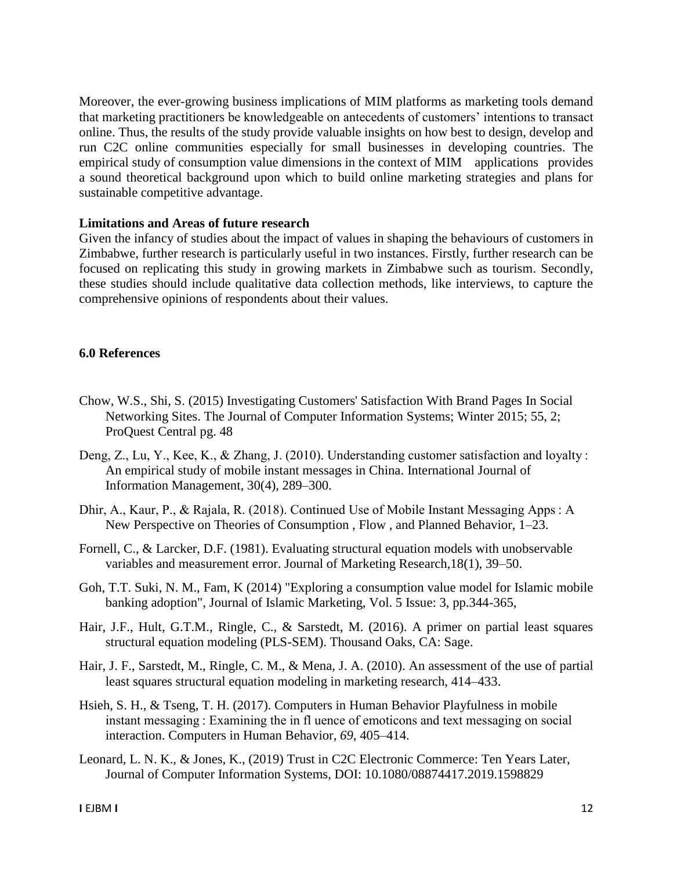Moreover, the ever-growing business implications of MIM platforms as marketing tools demand that marketing practitioners be knowledgeable on antecedents of customers' intentions to transact online. Thus, the results of the study provide valuable insights on how best to design, develop and run C2C online communities especially for small businesses in developing countries. The empirical study of consumption value dimensions in the context of MIM applications provides a sound theoretical background upon which to build online marketing strategies and plans for sustainable competitive advantage.

#### **Limitations and Areas of future research**

Given the infancy of studies about the impact of values in shaping the behaviours of customers in Zimbabwe, further research is particularly useful in two instances. Firstly, further research can be focused on replicating this study in growing markets in Zimbabwe such as tourism. Secondly, these studies should include qualitative data collection methods, like interviews, to capture the comprehensive opinions of respondents about their values.

#### **6.0 References**

- Chow, W.S., Shi, S. (2015) Investigating Customers' Satisfaction With Brand Pages In Social Networking Sites. The Journal of Computer Information Systems; Winter 2015; 55, 2; ProQuest Central pg. 48
- Deng, Z., Lu, Y., Kee, K., & Zhang, J. (2010). Understanding customer satisfaction and loyalty : An empirical study of mobile instant messages in China. International Journal of Information Management, 30(4), 289–300.
- Dhir, A., Kaur, P., & Rajala, R. (2018). Continued Use of Mobile Instant Messaging Apps : A New Perspective on Theories of Consumption , Flow , and Planned Behavior, 1–23.
- Fornell, C., & Larcker, D.F. (1981). Evaluating structural equation models with unobservable variables and measurement error. Journal of Marketing Research,18(1), 39–50.
- Goh, T.T. Suki, N. M., Fam, K (2014) "Exploring a consumption value model for Islamic mobile banking adoption", Journal of Islamic Marketing, Vol. 5 Issue: 3, pp.344-365,
- Hair, J.F., Hult, G.T.M., Ringle, C., & Sarstedt, M. (2016). A primer on partial least squares structural equation modeling (PLS-SEM). Thousand Oaks, CA: Sage.
- Hair, J. F., Sarstedt, M., Ringle, C. M., & Mena, J. A. (2010). An assessment of the use of partial least squares structural equation modeling in marketing research, 414–433.
- Hsieh, S. H., & Tseng, T. H. (2017). Computers in Human Behavior Playfulness in mobile instant messaging : Examining the in fl uence of emoticons and text messaging on social interaction. Computers in Human Behavior, *69*, 405–414.
- Leonard, L. N. K., & Jones, K., (2019) Trust in C2C Electronic Commerce: Ten Years Later, Journal of Computer Information Systems, DOI: 10.1080/08874417.2019.1598829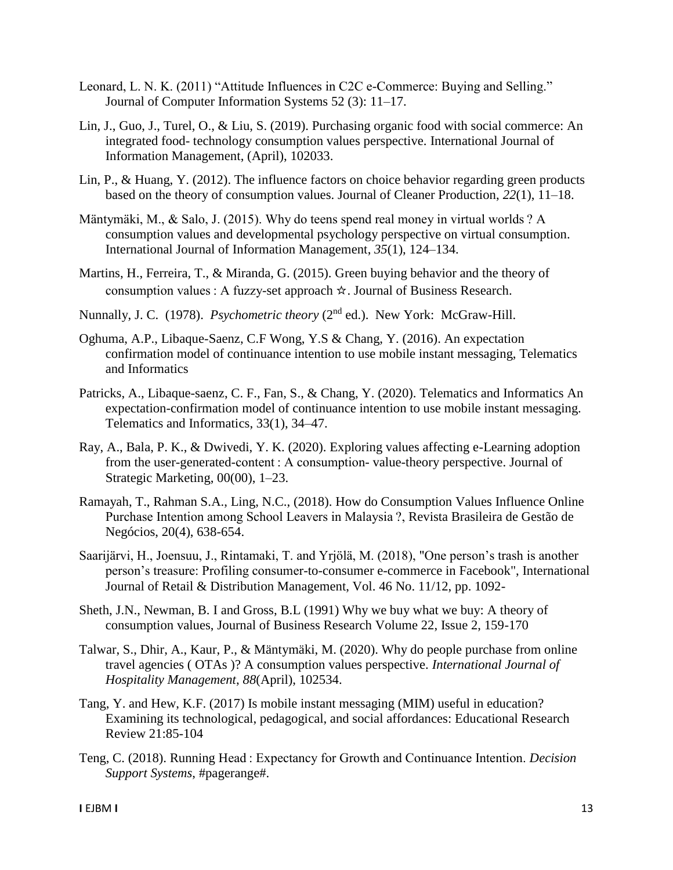- Leonard, L. N. K. (2011) "Attitude Influences in C2C e-Commerce: Buying and Selling." Journal of Computer Information Systems 52 (3): 11–17.
- Lin, J., Guo, J., Turel, O., & Liu, S. (2019). Purchasing organic food with social commerce: An integrated food- technology consumption values perspective. International Journal of Information Management, (April), 102033.
- Lin, P., & Huang, Y. (2012). The influence factors on choice behavior regarding green products based on the theory of consumption values. Journal of Cleaner Production, *22*(1), 11–18.
- Mäntymäki, M., & Salo, J. (2015). Why do teens spend real money in virtual worlds ? A consumption values and developmental psychology perspective on virtual consumption. International Journal of Information Management, *35*(1), 124–134.
- Martins, H., Ferreira, T., & Miranda, G. (2015). Green buying behavior and the theory of consumption values : A fuzzy-set approach ☆. Journal of Business Research.
- Nunnally, J. C. (1978). *Psychometric theory* (2<sup>nd</sup> ed.). New York: McGraw-Hill.
- Oghuma, A.P., Libaque-Saenz, C.F Wong, Y.S & Chang, Y. (2016). An expectation confirmation model of continuance intention to use mobile instant messaging, Telematics and Informatics
- Patricks, A., Libaque-saenz, C. F., Fan, S., & Chang, Y. (2020). Telematics and Informatics An expectation-confirmation model of continuance intention to use mobile instant messaging. Telematics and Informatics, 33(1), 34–47.
- Ray, A., Bala, P. K., & Dwivedi, Y. K. (2020). Exploring values affecting e-Learning adoption from the user-generated-content : A consumption- value-theory perspective. Journal of Strategic Marketing, 00(00), 1–23.
- Ramayah, T., Rahman S.A., Ling, N.C., (2018). How do Consumption Values Influence Online Purchase Intention among School Leavers in Malaysia ?, Revista Brasileira de Gestão de Negócios, 20(4), 638-654.
- Saarijärvi, H., Joensuu, J., Rintamaki, T. and Yrjölä, M. (2018), "One person's trash is another person's treasure: Profiling consumer-to-consumer e-commerce in Facebook", International Journal of Retail & Distribution Management, Vol. 46 No. 11/12, pp. 1092-
- Sheth, J.N., Newman, B. I and Gross, B.L (1991) Why we buy what we buy: A theory of consumption values, Journal of Business Research Volume 22, Issue 2, 159-170
- Talwar, S., Dhir, A., Kaur, P., & Mäntymäki, M. (2020). Why do people purchase from online travel agencies ( OTAs )? A consumption values perspective. *International Journal of Hospitality Management*, *88*(April), 102534.
- Tang, Y. and Hew, K.F. (2017) Is mobile instant messaging (MIM) useful in education? Examining its technological, pedagogical, and social affordances: Educational Research Review 21:85-104
- Teng, C. (2018). Running Head : Expectancy for Growth and Continuance Intention. *Decision Support Systems*, #pagerange#.